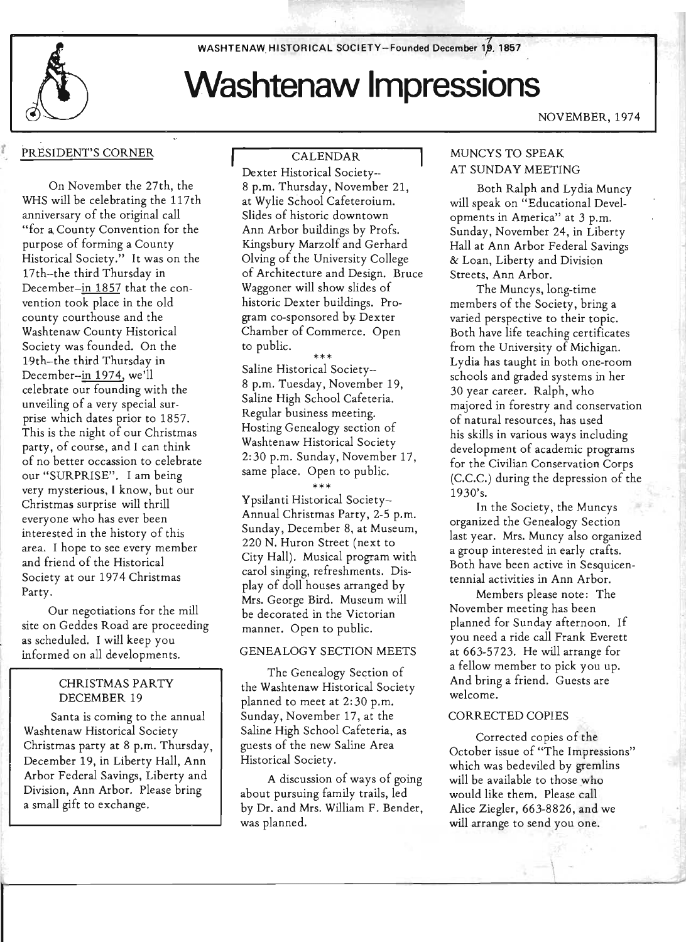WASHTENAW HISTORICAL SOCIETY-Founded December 19, 1857

*t* 

# **Washtenaw Impressions**

### PRESIDENT'S CORNER

On November the 27th, the WHS will be celebrating the 117th anniversary of the original call "for a, County Convention for the purpose of forming a County Historical Society." It was on the 17th--the third Thursday in December-in 1857 that the convention took place in the old county courthouse and the Washtenaw County Historical Society was founded. On the 19th-the third Thursday in December--in 1974, we'll celebrate our founding with the unveiling of a very special surprise which dates prior to 1857. This is the night of our Christmas party, of course, and I can think of no better occassion to celebrate our "SURPRISE". I am being very mysterious, I know, but our Christmas surprise will thrill everyone who has ever been interested in the history of this area. I hope to see every member and friend of the Historical Society at our 1974 Christmas Party.

Our negotiations for the mill site on Geddes Road are proceeding as scheduled. I will keep you informed on all developments.

#### CHRISTMAS PARTY DECEMBER 19

Santa is coming to the annual Washtenaw Historical Society Christmas party at 8 p.m. Thursday, December 19, in Liberty Hall, Ann Arbor Federal Savings, Liberty and Division, Ann Arbor. please bring a small gift to exchange.

CALENDAR Dexter Historical Society-- 8 p.m. Thursday, November 21, at Wylie School Cafeteraium. Slides of historic downtown Ann Arbor buildings by Profs. Kingsbury Marzolf and Gerhard Olving of the University College of Architecture and Design. Bruce Waggoner will show slides of historic Dexter buildings. Program co-sponsored by Dexter Chamber of Commerce. Open to public.

\*\*\* Saline Historical Society-- 8 p.m. Tuesday, November 19, Saline High School Cafeteria. Regular business meeting. Hosting Genealogy section of Washtenaw Historical Society 2:30 p.m. Sunday, November 17, same place. Open to public.

\*\*\*

Ypsilanti Historical Society-Annual Christmas Party, 2-5 p.m. Sunday, December 8, at Museum, 220 N. Huron Street (next to City Hall). Musical program with carol singing, refreshments. Display of doll houses arranged by Mrs. George Bird. Museum will be decorated in the Victorian manner. Open to public.

#### GENEALOGY SECTION MEETS

The Genealogy Section of the Washtenaw Historical Society planned to meet at 2: 30 p.m. Sunday, November 17, at the Saline High School Cafeteria, as guests of the new Saline Area Historical Society.

A discussion of ways of going about pursuing family trails, led by Dr. and Mrs. William F. Bender, was planned.

#### NOVEMBER, 1974

#### MUNCYS TO SPEAK AT SUNDAY MEETING

Both Ralph and Lydia Muncy will speak on "Educational Developments in America" at 3 p.m. Sunday, November 24, in Liberty Hall at Ann Arbor Federal Savings & Loan, Liberty and Division Streets, Ann Arbor.

The Muncys, long-time members of the Society, bring a varied perspective to their topic. Both have life teaching certificates from the University of Michigan. Lydia has taught in both one-room schools and graded systems in her 30 year career. Ralph, who majored in forestry and conservation of natural resources, has used his skills in various ways including development of academic programs for the Civilian Conservation Corps (C.C.C.) during the depression of the 1930's.

In the Society, the Muncys organized the Genealogy Section last year. Mrs. Muncy also organized a group interested in early crafts. Both have been active in Sesquicentennial activities in Ann Arbor.

Members please note: The November meeting has been planned for Sunday afternoon. If you need a ride call Frank Everett at 663-5723. He will arrange for a fellow member to pick you up. And bring a friend. Guests are welcome.

#### CORRECTED COPIES

Corrected copies of the October issue of "The Impressions" which was bedeviled by gremlins will be available to those who would like them. please call Alice Ziegler, 663-8826, and we will arrange to send you one.

 $\mathcal{A}$  .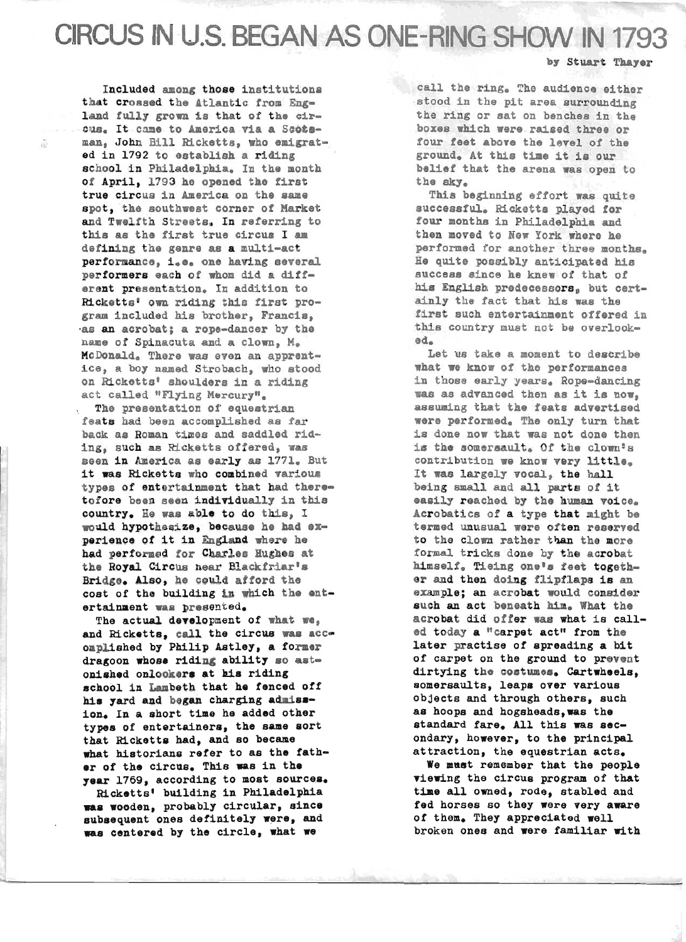CIRCUS IN U.S. BEGAN AS ONE-RING SHOW IN 1793

#### by Stuart Thayer

Included among those institutions that crossed the Atlantic from England fully grown is that of the circus. It came to America via a Scoteman, John Bill Ricketts, who emigrated in 1792 to establish a riding school in Philadelphia. In the month *ot* April, 1793 he opened the first true circus in America on the same spot, the southwest corner of Market and Twelfth Streets. In referring to this as the tirst true circus I am defining the genre as a multi-act performance, i.e. one having several performers each *ot* whom did a different presentation. In addition to Ricketts' own riding this first program included his brother, Francis, -as an acrobat; a rope-dancer by the name *ot* Spinacuta and a clown, M. McDonald. There was even an apprentice, a boy named Strobach, who stood . on Ricketts' shoulders in a riding . act called "Flying Mercury".

ŵ

The presentation *ot* equestrian feats had been accomplished as tar back as Roman times and saddled riding, such as Ricketts otfered, was Been in America as early as 1771. But it was Ricketts who combined various types of entertainment that had theretofore been seen individually in this country. He was able to do this, I would hypothesize, because he had experience of it in England where he had performed for Charles Hughes at the Royal Circus near Blackfriar's Bridge. Also, he could afford the cost of the building in which the entertainment was presented.

The actual development of what we, and Ricketts, call the circus was accomplished by Philip Astley, a former dragoon whose riding ability so astonished onlookers at his riding school in Lambeth that he fenced off his yard and began charging admission. In a short time he added other types of entertainers, the same sort that Ricketts had, and so became what historians refer to as the father of the circus. This was in the year 1769, according to most sources.

Ricketts' building in Philadelphia was wooden, probably circular, since subsequent ones definitely were, and<br>mas centered by the circle, what we

~~------------------------------------------------------------------------------~------------------~

call the ring. The audience either stood in the pit area surrounding the ring or sat on benches in the boxes which were raised three or four feet above the level of the ground. At this time it is our belief that the arena was open to the sky.

This beginning effort was quite successful. Ricketts played for four months in Philadelphia and then moved to New York where he performed for another three months. He quite possibly anticipated his success since he knew of that of his English predecessors, but certainly the fact that his was the first such entertainment offered in this country must not be overlooked.

Let us take a moment to describe what we know of the performances in those early years. Rope-dancing was as advanced then as it is now, assuming that the feats advertised were performed. The only turn that is done now that was not done then is the somersault. Of the clown's contribution we know very little. It was largely vocal, the hall being small and all parts of it easily reached by the human voice. Acrobatics *ot* a type that might be termed unusual were often reserved to the clown rather than the more formal tricks done by the acrobat himself. Tieing one's feet together and then doing flipflaps is an example; an acrobat would consider such an act beneath him. What the acrobat did offer was what is called today a "carpet act" from the later practise of spreading a bit of carpet on the ground to prevent dirtying the costumes. Cartwheels, somersaults, leaps over various objects and through others, such as hoops and hogsheads,was the standard fare. All this was secondary, however, to the principal attraction, the equestrian acts.

We must remember that the people viewing the circus program of that tiae all owned, rode, stabled and fed horses so they were very aware of them. They appreciated well broken ones and were familiar with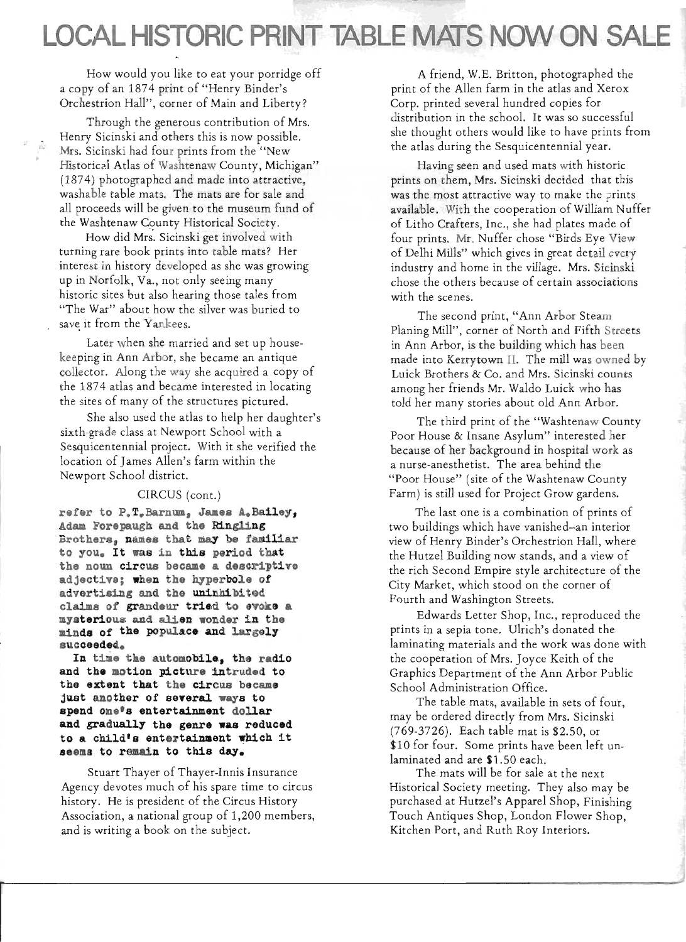## **LOCAL HISTORIC PRINT TABLE MATS NOW ON SALE**

How would you like to eat your porridge off a copy of an 1874 print of "Henry Binder's Orchestrion Hall", corner of Main and Liberty?

Through the generous contribution of Mrs. Henry Sicinski and others this is now possible. Mrs. Sicinski had four prints from the "New Historical Atlas of Washtenaw County, Michigan" (1874) photographed and made into attractive, washable table mats. The mats are for sale and all proceeds will be given to the museum fund of the Washtenaw County Historical Society.

it!

How did Mrs. Sicinski get involved with turning rare book prints into table mats? Her interest in history developed as she was growing up in Norfolk, Va., not only seeing many historic sites but also hearing those tales from "The War" about how the silver was buried to save it from the Yankees.

Later when she married and set up housekeeping in Ann Arbor, she became an antique collector. Along the way she acquired a copy of the 1874 atlas and became interested in locating the sites of many of the structures pictured.

She also used the atlas to help her daughter's sixth-grade class at Newport School with a Sesquicentennial project. With it she verified the location of James Allen's farm within the Newport School district.

#### CIRCUS (cont.)

**refer to P.T.Barnum, James A.Bailey, Adam Forepaugh and the Ringling Brothers, Dames that may be familiar to you. It was in this period that the noun circus became a descriptive adjective; when the hyperbole of advertising and the uninhibited**  claims of grandeur tried to evoke a **mysterious and al:1.en wonder in the minds of the populace and largel y sucoeeded.** 

In time the automobile, the radio **and the motion picture intruded to**  the extent that the circus became **just another of seyeral ways to spend one 's entertainment dollar**  and gradually the genre was reduced **<sup>t</sup> o a child's entertainment which it s e ems t o remain t o this day.** 

Stuart Thayer of Thayer-Innis Insurance Agency devotes much of his spare time to circus history. He is president of the Circus History Association, a national group of 1,200 members, and is writing a book on the subject.

A friend, W.E. Britton, photographed the print of the Allen farm in the atlas and Xerox Corp. printed several hundred copies for distribution in the school. It was so successful she thought others would like to have prints from the atlas during the Sesquicentennial year.

'I

Having seen and used mats with historic prints on them, Mrs. Sicinski decided that this was the most attractive way to make the prints available. With the cooperation of William Nuffer of Litho Crafters, Inc., she had plates made of four prints. Mr. Nuffer chose "Birds Eye View of Delhi Mills" which gives in great detail every industry and home in the village. Mrs. Sicinski chose the others because of certain associations with the scenes.

The second print, "Ann Arbor Steam Planing Mill", corner of North and Fifth Streets in Ann Arbor, is the building which has been made into Kerrytown II. The mill was owned by Luick Brothers & Co. and Mrs. Sicinski counts among her friends Mr. Waldo Luick who has told her many stories about old Ann Arbor.

The third print of the "Washtenaw County Poor House & Insane Asylum" interested her because of her background in hospital work as a nurse-anesthetist. The area behind the "Poor House" (site of the Washtenaw County Farm) is still used for Project Grow gardens.

The last one is a combination of prints of two buildings which have vanished--an interior view of Henry Binder's Orchestrion Hall, where the Hutzel Building now stands, and a view of the rich Second Empire style architecture of the City Market, which stood on the corner of Fourth and Washington Streets.

Edwards Letter Shop, Inc., reproduced the prints in a sepia tone. Ulrich's donated the laminating materials and the work was done with the cooperation of Mrs. Joyce Keith of the Graphics Department of the Ann Arbor Public School Administration Office.

The table mats, available in sets of four, may be ordered directly from Mrs. Sicinski (769-3726). Each table mat is \$2.50, or \$10 for four. Some prints have been left unlaminated and are \$1.50 each.

The mats will be for sale at the next Historical Society meeting. They also may be purchased at Hutzel's Apparel Shop, Finishing Touch Antiques Shop, London Flower Shop, Kitchen Port, and Ruth Roy Interiors.